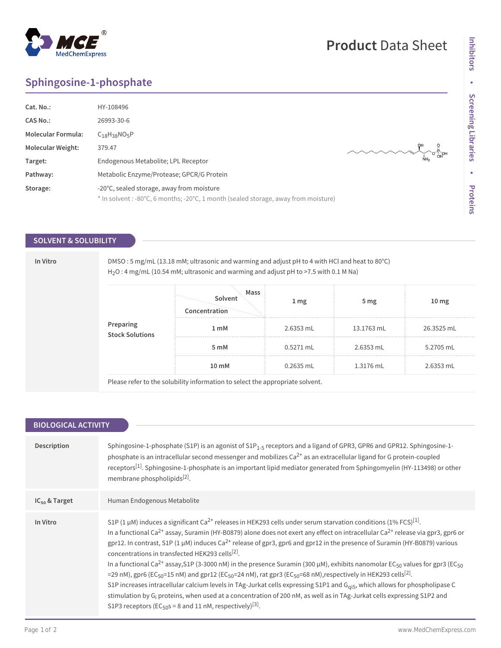# **Sphingosine-1-phosphate**

**MedChemExpress** 

| Cat. No.:                 | HY-108496                                                                           |  |  |
|---------------------------|-------------------------------------------------------------------------------------|--|--|
| CAS No.:                  | 26993-30-6                                                                          |  |  |
| <b>Molecular Formula:</b> | $C_{18}H_{38}NO_5P$                                                                 |  |  |
| <b>Molecular Weight:</b>  | 379.47                                                                              |  |  |
| Target:                   | Endogenous Metabolite; LPL Receptor                                                 |  |  |
| Pathway:                  | Metabolic Enzyme/Protease; GPCR/G Protein                                           |  |  |
| Storage:                  | -20°C, sealed storage, away from moisture                                           |  |  |
|                           | * In solvent : -80°C, 6 months; -20°C, 1 month (sealed storage, away from moisture) |  |  |

### **SOLVENT & SOLUBILITY**

**In Vitro** DMSO : 5 mg/mL (13.18 mM; ultrasonic and warming and adjust pH to 4 with HCl and heat to 80°C) H2O : 4 mg/mL (10.54 mM; ultrasonic and warming and adjust pH to >7.5 with 0.1 M Na)

| Preparing<br>Stock Solutions | Mass<br>Solvent<br>Concentration | 1 <sub>mg</sub> | 5 <sub>mg</sub> | 10 <sub>mg</sub> |
|------------------------------|----------------------------------|-----------------|-----------------|------------------|
|                              | 1 <sub>m</sub> M                 | 2.6353 mL       | 13.1763 mL      | 26.3525 mL       |
|                              | 5 <sub>m</sub> M                 | $0.5271$ mL     | 2.6353 mL       | 5.2705 mL        |
|                              | 10 <sub>mm</sub>                 | 0.2635 mL       | 1.3176 mL       | 2.6353 mL        |

Please refer to the solubility information to select the appropriate solvent.

| <b>BIOLOGICAL ACTIVITY</b> |                                                                                                                                                                                                                                                                                                                                                                                                                                                                                                                                                                                                                                                                                                                                                                                                                                                                                                                                                                                                                                                                                                                                                                                                                    |  |  |  |
|----------------------------|--------------------------------------------------------------------------------------------------------------------------------------------------------------------------------------------------------------------------------------------------------------------------------------------------------------------------------------------------------------------------------------------------------------------------------------------------------------------------------------------------------------------------------------------------------------------------------------------------------------------------------------------------------------------------------------------------------------------------------------------------------------------------------------------------------------------------------------------------------------------------------------------------------------------------------------------------------------------------------------------------------------------------------------------------------------------------------------------------------------------------------------------------------------------------------------------------------------------|--|--|--|
|                            |                                                                                                                                                                                                                                                                                                                                                                                                                                                                                                                                                                                                                                                                                                                                                                                                                                                                                                                                                                                                                                                                                                                                                                                                                    |  |  |  |
| Description                | Sphingosine-1-phosphate (S1P) is an agonist of S1P <sub>1-5</sub> receptors and a ligand of GPR3, GPR6 and GPR12. Sphingosine-1-<br>phosphate is an intracellular second messenger and mobilizes Ca <sup>2+</sup> as an extracellular ligand for G protein-coupled<br>receptors <sup>[1]</sup> . Sphingosine-1-phosphate is an important lipid mediator generated from Sphingomyelin (HY-113498) or other<br>membrane phospholipids <sup>[2]</sup> .                                                                                                                                                                                                                                                                                                                                                                                                                                                                                                                                                                                                                                                                                                                                                               |  |  |  |
| $IC_{50}$ & Target         | Human Endogenous Metabolite                                                                                                                                                                                                                                                                                                                                                                                                                                                                                                                                                                                                                                                                                                                                                                                                                                                                                                                                                                                                                                                                                                                                                                                        |  |  |  |
| In Vitro                   | S1P (1 µM) induces a significant Ca <sup>2+</sup> releases in HEK293 cells under serum starvation conditions (1% FCS) <sup>[1]</sup> .<br>In a functional Ca <sup>2+</sup> assay, Suramin (HY-B0879) alone does not exert any effect on intracellular Ca <sup>2+</sup> release via gpr3, gpr6 or<br>gpr12. In contrast, S1P (1 $\mu$ M) induces Ca <sup>2+</sup> release of gpr3, gpr6 and gpr12 in the presence of Suramin (HY-B0879) various<br>concentrations in transfected HEK293 cells <sup>[2]</sup> .<br>In a functional Ca <sup>2+</sup> assay, S1P (3-3000 nM) in the presence Suramin (300 µM), exhibits nanomolar EC <sub>50</sub> values for gpr3 (EC <sub>50</sub> )<br>=29 nM), gpr6 (EC <sub>50</sub> =15 nM) and gpr12 (EC <sub>50</sub> =24 nM), rat gpr3 (EC <sub>50</sub> =68 nM), respectively in HEK293 cells <sup>[2]</sup> .<br>S1P increases intracellular calcium levels in TAg-Jurkat cells expressing S1P1 and G <sub>qi5</sub> , which allows for phospholipase C<br>stimulation by G <sub>i</sub> proteins, when used at a concentration of 200 nM, as well as in TAg-Jurkat cells expressing S1P2 and<br>S1P3 receptors ( $EC_{50}$ s = 8 and 11 nM, respectively) <sup>[3]</sup> . |  |  |  |

## **Product** Data Sheet

 $\begin{picture}(180,170) \put(0,0){\line(1,0){150}} \put(10,0){\line(1,0){150}} \put(10,0){\line(1,0){150}} \put(10,0){\line(1,0){150}} \put(10,0){\line(1,0){150}} \put(10,0){\line(1,0){150}} \put(10,0){\line(1,0){150}} \put(10,0){\line(1,0){150}} \put(10,0){\line(1,0){150}} \put(10,0){\line(1,0){150}} \put(10,0){\line(1,0){150$